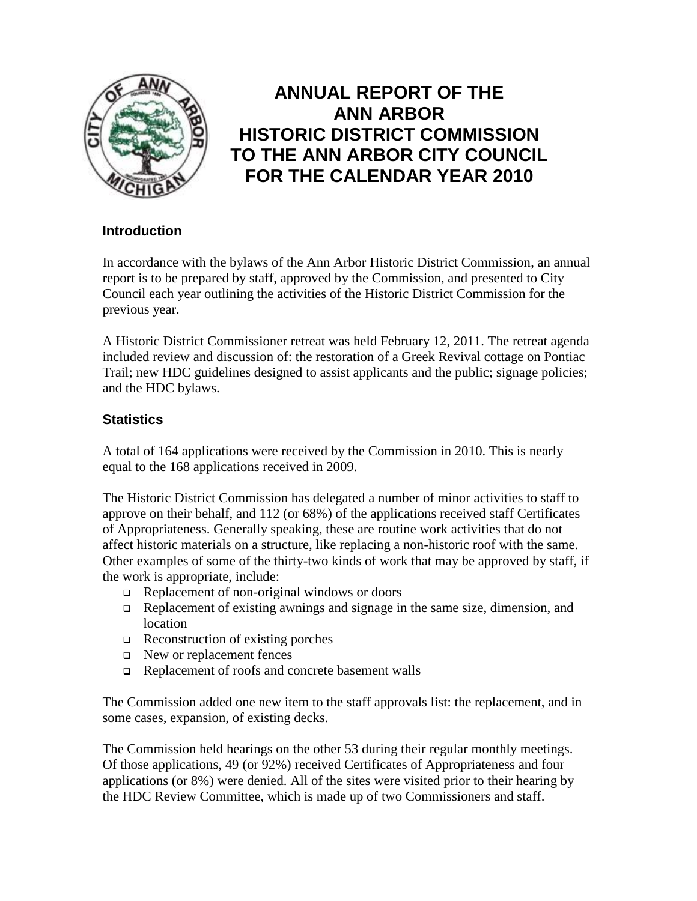

# **ANNUAL REPORT OF THE ANN ARBOR HISTORIC DISTRICT COMMISSION TO THE ANN ARBOR CITY COUNCIL FOR THE CALENDAR YEAR 2010**

# **Introduction**

In accordance with the bylaws of the Ann Arbor Historic District Commission, an annual report is to be prepared by staff, approved by the Commission, and presented to City Council each year outlining the activities of the Historic District Commission for the previous year.

A Historic District Commissioner retreat was held February 12, 2011. The retreat agenda included review and discussion of: the restoration of a Greek Revival cottage on Pontiac Trail; new HDC guidelines designed to assist applicants and the public; signage policies; and the HDC bylaws.

# **Statistics**

A total of 164 applications were received by the Commission in 2010. This is nearly equal to the 168 applications received in 2009.

The Historic District Commission has delegated a number of minor activities to staff to approve on their behalf, and 112 (or 68%) of the applications received staff Certificates of Appropriateness. Generally speaking, these are routine work activities that do not affect historic materials on a structure, like replacing a non-historic roof with the same. Other examples of some of the thirty-two kinds of work that may be approved by staff, if the work is appropriate, include:

- $\Box$  Replacement of non-original windows or doors
- Replacement of existing awnings and signage in the same size, dimension, and location
- $\Box$  Reconstruction of existing porches
- $\Box$  New or replacement fences
- Replacement of roofs and concrete basement walls

The Commission added one new item to the staff approvals list: the replacement, and in some cases, expansion, of existing decks.

The Commission held hearings on the other 53 during their regular monthly meetings. Of those applications, 49 (or 92%) received Certificates of Appropriateness and four applications (or 8%) were denied. All of the sites were visited prior to their hearing by the HDC Review Committee, which is made up of two Commissioners and staff.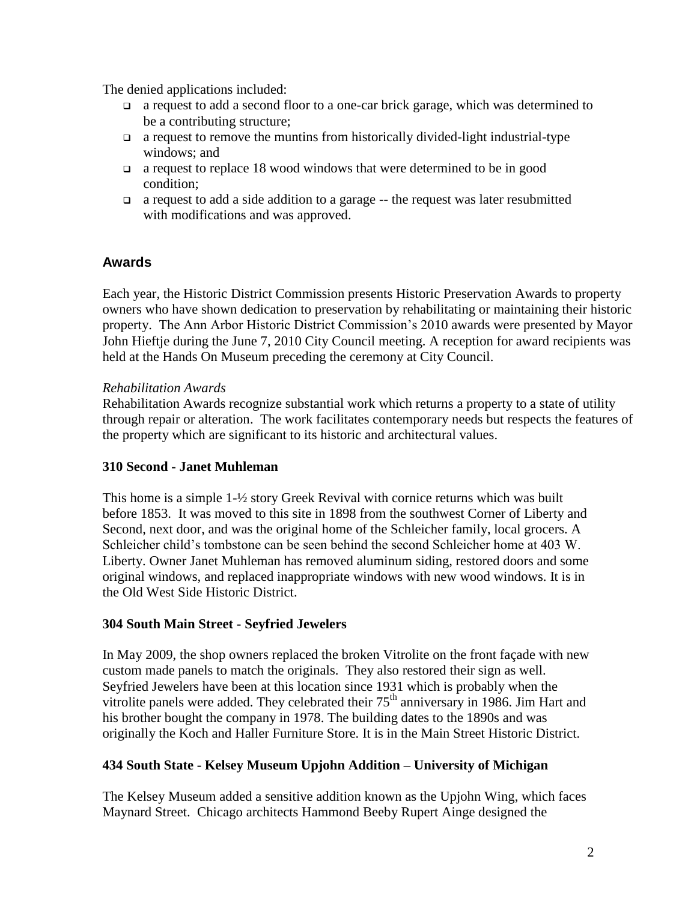The denied applications included:

- a request to add a second floor to a one-car brick garage, which was determined to be a contributing structure;
- $\Box$  a request to remove the muntins from historically divided-light industrial-type windows; and
- $\Box$  a request to replace 18 wood windows that were determined to be in good condition;
- a request to add a side addition to a garage -- the request was later resubmitted with modifications and was approved.

# **Awards**

Each year, the Historic District Commission presents Historic Preservation Awards to property owners who have shown dedication to preservation by rehabilitating or maintaining their historic property. The Ann Arbor Historic District Commission's 2010 awards were presented by Mayor John Hieftje during the June 7, 2010 City Council meeting. A reception for award recipients was held at the Hands On Museum preceding the ceremony at City Council.

#### *Rehabilitation Awards*

Rehabilitation Awards recognize substantial work which returns a property to a state of utility through repair or alteration. The work facilitates contemporary needs but respects the features of the property which are significant to its historic and architectural values.

## **310 Second - Janet Muhleman**

This home is a simple 1-½ story Greek Revival with cornice returns which was built before 1853. It was moved to this site in 1898 from the southwest Corner of Liberty and Second, next door, and was the original home of the Schleicher family, local grocers. A Schleicher child's tombstone can be seen behind the second Schleicher home at 403 W. Liberty. Owner Janet Muhleman has removed aluminum siding, restored doors and some original windows, and replaced inappropriate windows with new wood windows. It is in the Old West Side Historic District.

## **304 South Main Street - Seyfried Jewelers**

In May 2009, the shop owners replaced the broken Vitrolite on the front façade with new custom made panels to match the originals. They also restored their sign as well. Seyfried Jewelers have been at this location since 1931 which is probably when the vitrolite panels were added. They celebrated their  $75<sup>th</sup>$  anniversary in 1986. Jim Hart and his brother bought the company in 1978. The building dates to the 1890s and was originally the Koch and Haller Furniture Store. It is in the Main Street Historic District.

## **434 South State - Kelsey Museum Upjohn Addition – University of Michigan**

The Kelsey Museum added a sensitive addition known as the Upjohn Wing, which faces Maynard Street. Chicago architects Hammond Beeby Rupert Ainge designed the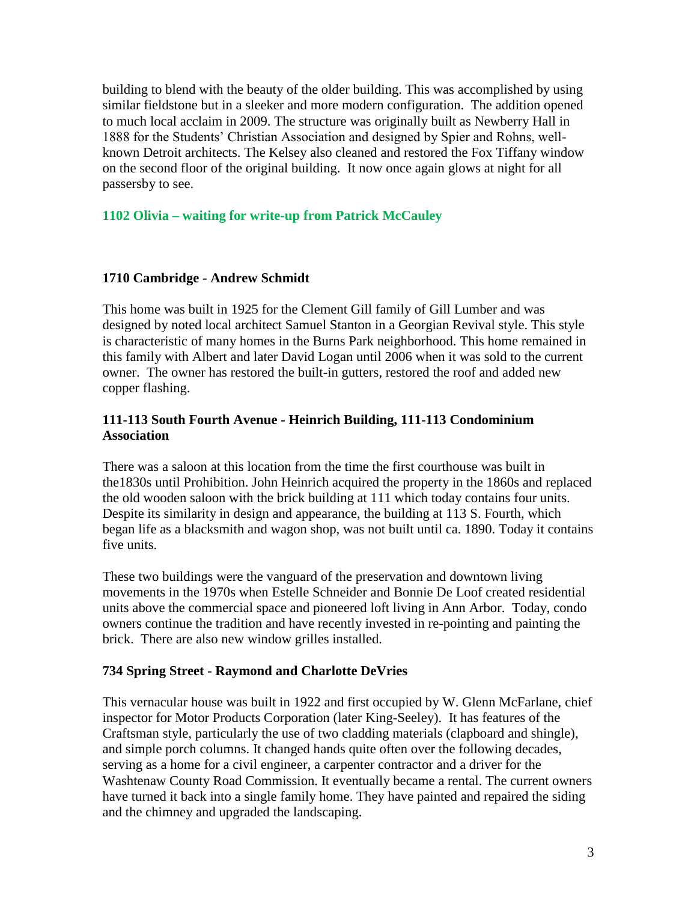building to blend with the beauty of the older building. This was accomplished by using similar fieldstone but in a sleeker and more modern configuration. The addition opened to much local acclaim in 2009. The structure was originally built as Newberry Hall in 1888 for the Students' Christian Association and designed by Spier and Rohns, wellknown Detroit architects. The Kelsey also cleaned and restored the Fox Tiffany window on the second floor of the original building. It now once again glows at night for all passersby to see.

# **1102 Olivia – waiting for write-up from Patrick McCauley**

## **1710 Cambridge - Andrew Schmidt**

This home was built in 1925 for the Clement Gill family of Gill Lumber and was designed by noted local architect Samuel Stanton in a Georgian Revival style. This style is characteristic of many homes in the Burns Park neighborhood. This home remained in this family with Albert and later David Logan until 2006 when it was sold to the current owner. The owner has restored the built-in gutters, restored the roof and added new copper flashing.

#### **111-113 South Fourth Avenue - Heinrich Building, 111-113 Condominium Association**

There was a saloon at this location from the time the first courthouse was built in the1830s until Prohibition. John Heinrich acquired the property in the 1860s and replaced the old wooden saloon with the brick building at 111 which today contains four units. Despite its similarity in design and appearance, the building at 113 S. Fourth, which began life as a blacksmith and wagon shop, was not built until ca. 1890. Today it contains five units.

These two buildings were the vanguard of the preservation and downtown living movements in the 1970s when Estelle Schneider and Bonnie De Loof created residential units above the commercial space and pioneered loft living in Ann Arbor. Today, condo owners continue the tradition and have recently invested in re-pointing and painting the brick. There are also new window grilles installed.

#### **734 Spring Street - Raymond and Charlotte DeVries**

This vernacular house was built in 1922 and first occupied by W. Glenn McFarlane, chief inspector for Motor Products Corporation (later King-Seeley). It has features of the Craftsman style, particularly the use of two cladding materials (clapboard and shingle), and simple porch columns. It changed hands quite often over the following decades, serving as a home for a civil engineer, a carpenter contractor and a driver for the Washtenaw County Road Commission. It eventually became a rental. The current owners have turned it back into a single family home. They have painted and repaired the siding and the chimney and upgraded the landscaping.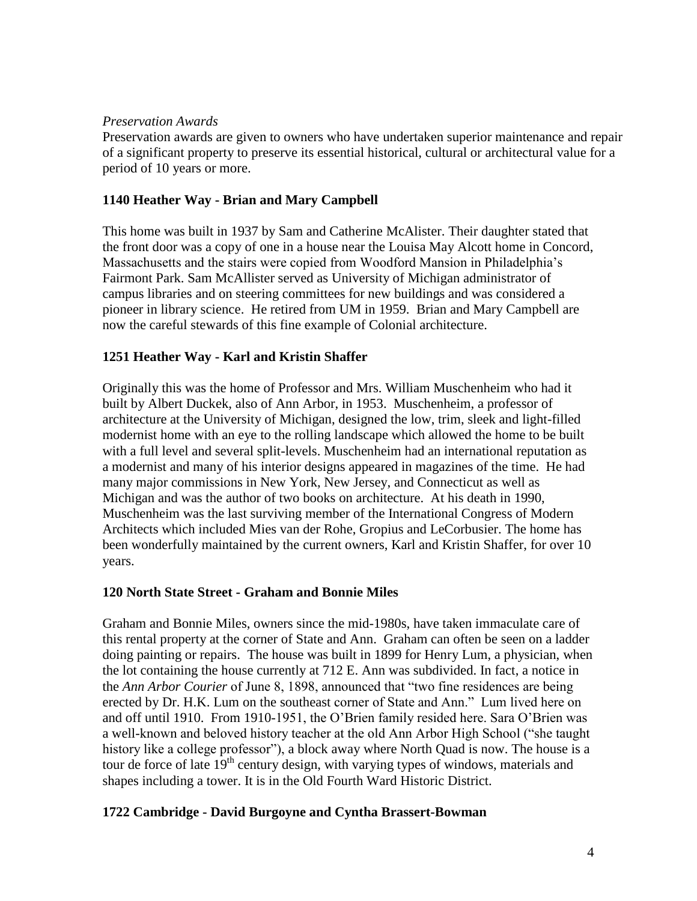#### *Preservation Awards*

Preservation awards are given to owners who have undertaken superior maintenance and repair of a significant property to preserve its essential historical, cultural or architectural value for a period of 10 years or more.

## **1140 Heather Way - Brian and Mary Campbell**

This home was built in 1937 by Sam and Catherine McAlister. Their daughter stated that the front door was a copy of one in a house near the Louisa May Alcott home in Concord, Massachusetts and the stairs were copied from Woodford Mansion in Philadelphia's Fairmont Park. Sam McAllister served as University of Michigan administrator of campus libraries and on steering committees for new buildings and was considered a pioneer in library science. He retired from UM in 1959. Brian and Mary Campbell are now the careful stewards of this fine example of Colonial architecture.

# **1251 Heather Way - Karl and Kristin Shaffer**

Originally this was the home of Professor and Mrs. William Muschenheim who had it built by Albert Duckek, also of Ann Arbor, in 1953. Muschenheim, a professor of architecture at the University of Michigan, designed the low, trim, sleek and light-filled modernist home with an eye to the rolling landscape which allowed the home to be built with a full level and several split-levels. Muschenheim had an international reputation as a modernist and many of his interior designs appeared in magazines of the time. He had many major commissions in New York, New Jersey, and Connecticut as well as Michigan and was the author of two books on architecture. At his death in 1990, Muschenheim was the last surviving member of the International Congress of Modern Architects which included Mies van der Rohe, Gropius and LeCorbusier. The home has been wonderfully maintained by the current owners, Karl and Kristin Shaffer, for over 10 years.

## **120 North State Street - Graham and Bonnie Miles**

Graham and Bonnie Miles, owners since the mid-1980s, have taken immaculate care of this rental property at the corner of State and Ann. Graham can often be seen on a ladder doing painting or repairs. The house was built in 1899 for Henry Lum, a physician, when the lot containing the house currently at 712 E. Ann was subdivided. In fact, a notice in the *Ann Arbor Courier* of June 8, 1898, announced that "two fine residences are being erected by Dr. H.K. Lum on the southeast corner of State and Ann." Lum lived here on and off until 1910. From 1910-1951, the O'Brien family resided here. Sara O'Brien was a well-known and beloved history teacher at the old Ann Arbor High School ("she taught history like a college professor"), a block away where North Quad is now. The house is a tour de force of late 19<sup>th</sup> century design, with varying types of windows, materials and shapes including a tower. It is in the Old Fourth Ward Historic District.

## **1722 Cambridge - David Burgoyne and Cyntha Brassert-Bowman**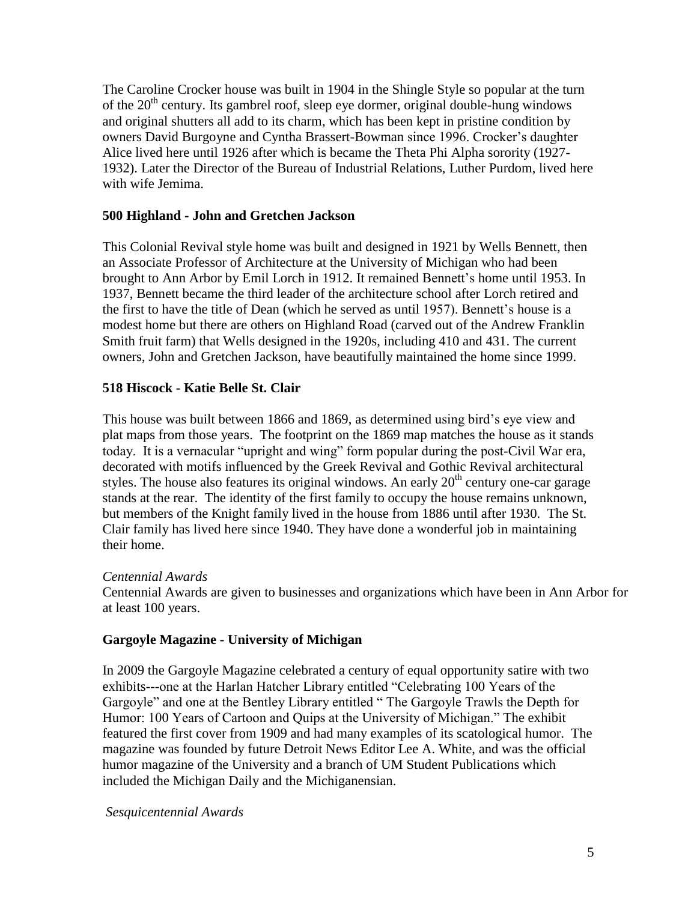The Caroline Crocker house was built in 1904 in the Shingle Style so popular at the turn of the  $20<sup>th</sup>$  century. Its gambrel roof, sleep eye dormer, original double-hung windows and original shutters all add to its charm, which has been kept in pristine condition by owners David Burgoyne and Cyntha Brassert-Bowman since 1996. Crocker's daughter Alice lived here until 1926 after which is became the Theta Phi Alpha sorority (1927- 1932). Later the Director of the Bureau of Industrial Relations, Luther Purdom, lived here with wife Jemima.

#### **500 Highland - John and Gretchen Jackson**

This Colonial Revival style home was built and designed in 1921 by Wells Bennett, then an Associate Professor of Architecture at the University of Michigan who had been brought to Ann Arbor by Emil Lorch in 1912. It remained Bennett's home until 1953. In 1937, Bennett became the third leader of the architecture school after Lorch retired and the first to have the title of Dean (which he served as until 1957). Bennett's house is a modest home but there are others on Highland Road (carved out of the Andrew Franklin Smith fruit farm) that Wells designed in the 1920s, including 410 and 431. The current owners, John and Gretchen Jackson, have beautifully maintained the home since 1999.

#### **518 Hiscock - Katie Belle St. Clair**

This house was built between 1866 and 1869, as determined using bird's eye view and plat maps from those years. The footprint on the 1869 map matches the house as it stands today. It is a vernacular "upright and wing" form popular during the post-Civil War era, decorated with motifs influenced by the Greek Revival and Gothic Revival architectural styles. The house also features its original windows. An early  $20<sup>th</sup>$  century one-car garage stands at the rear. The identity of the first family to occupy the house remains unknown, but members of the Knight family lived in the house from 1886 until after 1930. The St. Clair family has lived here since 1940. They have done a wonderful job in maintaining their home.

#### *Centennial Awards*

Centennial Awards are given to businesses and organizations which have been in Ann Arbor for at least 100 years.

#### **Gargoyle Magazine - University of Michigan**

In 2009 the Gargoyle Magazine celebrated a century of equal opportunity satire with two exhibits---one at the Harlan Hatcher Library entitled "Celebrating 100 Years of the Gargoyle" and one at the Bentley Library entitled " The Gargoyle Trawls the Depth for Humor: 100 Years of Cartoon and Quips at the University of Michigan." The exhibit featured the first cover from 1909 and had many examples of its scatological humor. The magazine was founded by future Detroit News Editor Lee A. White, and was the official humor magazine of the University and a branch of UM Student Publications which included the Michigan Daily and the Michiganensian.

#### *Sesquicentennial Awards*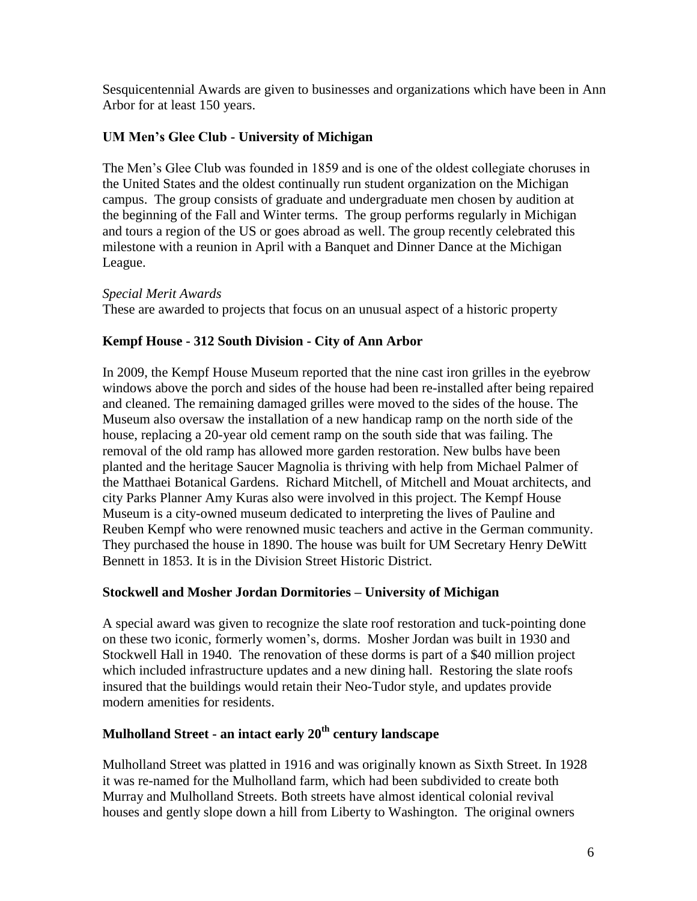Sesquicentennial Awards are given to businesses and organizations which have been in Ann Arbor for at least 150 years.

# **UM Men's Glee Club - University of Michigan**

The Men's Glee Club was founded in 1859 and is one of the oldest collegiate choruses in the United States and the oldest continually run student organization on the Michigan campus. The group consists of graduate and undergraduate men chosen by audition at the beginning of the Fall and Winter terms. The group performs regularly in Michigan and tours a region of the US or goes abroad as well. The group recently celebrated this milestone with a reunion in April with a Banquet and Dinner Dance at the Michigan League.

## *Special Merit Awards*

These are awarded to projects that focus on an unusual aspect of a historic property

# **Kempf House - 312 South Division - City of Ann Arbor**

In 2009, the Kempf House Museum reported that the nine cast iron grilles in the eyebrow windows above the porch and sides of the house had been re-installed after being repaired and cleaned. The remaining damaged grilles were moved to the sides of the house. The Museum also oversaw the installation of a new handicap ramp on the north side of the house, replacing a 20-year old cement ramp on the south side that was failing. The removal of the old ramp has allowed more garden restoration. New bulbs have been planted and the heritage Saucer Magnolia is thriving with help from Michael Palmer of the Matthaei Botanical Gardens. Richard Mitchell, of Mitchell and Mouat architects, and city Parks Planner Amy Kuras also were involved in this project. The Kempf House Museum is a city-owned museum dedicated to interpreting the lives of Pauline and Reuben Kempf who were renowned music teachers and active in the German community. They purchased the house in 1890. The house was built for UM Secretary Henry DeWitt Bennett in 1853. It is in the Division Street Historic District.

## **Stockwell and Mosher Jordan Dormitories – University of Michigan**

A special award was given to recognize the slate roof restoration and tuck-pointing done on these two iconic, formerly women's, dorms. Mosher Jordan was built in 1930 and Stockwell Hall in 1940. The renovation of these dorms is part of a \$40 million project which included infrastructure updates and a new dining hall. Restoring the slate roofs insured that the buildings would retain their Neo-Tudor style, and updates provide modern amenities for residents.

# **Mulholland Street - an intact early 20th century landscape**

Mulholland Street was platted in 1916 and was originally known as Sixth Street. In 1928 it was re-named for the Mulholland farm, which had been subdivided to create both Murray and Mulholland Streets. Both streets have almost identical colonial revival houses and gently slope down a hill from Liberty to Washington. The original owners